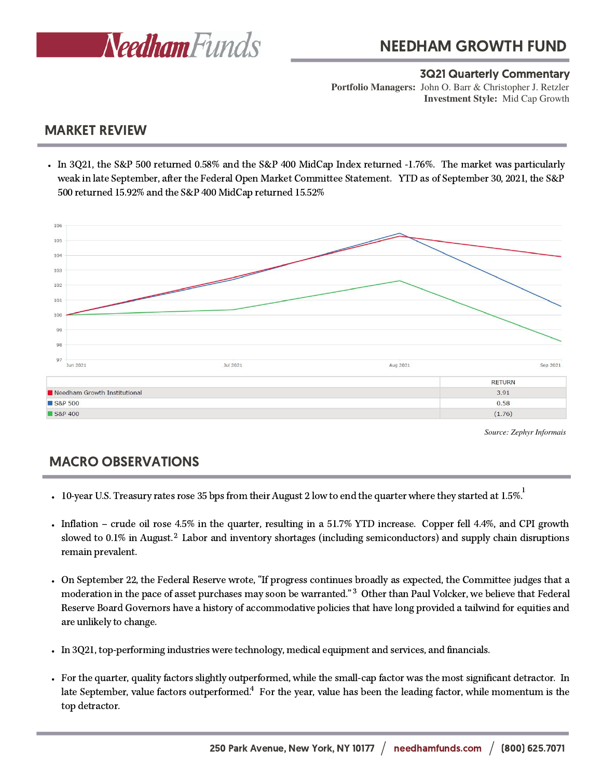

#### 3Q21 Quarterly Commentary

**Investment Style:** Mid Cap Growth **Portfolio Managers:** John O. Barr & Christopher J. Retzler

### MARKET REVIEW

In 3Q21, the S&P 500 returned 0.58% and the S&P 400 MidCap Index returned -1.76%. The market was particularly weak in late September, after the Federal Open Market Committee Statement. YTD as of September 30, 2021, the S&P 500 returned 15.92% and the S&P 400 MidCap returned 15.52%



*Source: Zephyr Informais*

# MACRO OBSERVATIONS

- 1 10-year U.S. Treasury rates rose 35 bps from their August 2 low to end the quarter where they started at 1.5%.
- slowed to 0.1% in August.<sup>2</sup> Labor and inventory shortages (including semiconductors) and supply chain disruptions Inflation – crude oil rose 4.5% in the quarter, resulting in a 51.7% YTD increase. Copper fell 4.4%, and CPI growth remain prevalent.
- moderation in the pace of asset purchases may soon be warranted."<sup>3</sup> Other than Paul Volcker, we believe that Federal On September 22, the Federal Reserve wrote, "If progress continues broadly as expected, the Committee judges that a Reserve Board Governors have a history of accommodative policies that have long provided a tailwind for equities and are unlikely to change.
- In 3Q21, top-performing industries were technology, medical equipment and services, and financials.
- For the quarter, quality factors slightly outperformed, while the small-cap factor was the most significant detractor. In late September, value factors outperformed.<sup>4</sup> For the year, value has been the leading factor, while momentum is the top detractor.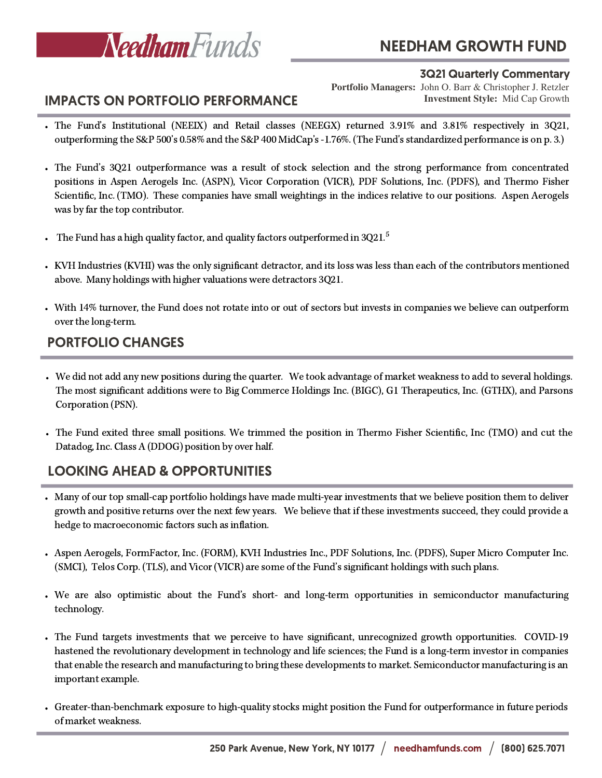

# NEEDHAM GROWTH FUND

#### 3Q21 Quarterly Commentary

**Investment Style:** Mid Cap Growth **Portfolio Managers:** John O. Barr & Christopher J. Retzler

### IMPACTS ON PORTFOLIO PERFORMANCE

- The Fund's Institutional (NEEIX) and Retail classes (NEEGX) returned 3.91% and 3.81% respectively in 3Q21, outperforming the S&P 500's 0.58% and the S&P 400 MidCap's -1.76%. (The Fund's standardized performance is on p. 3.)
- The Fund's 3Q21 outperformance was a result of stock selection and the strong performance from concentrated positions in Aspen Aerogels Inc. (ASPN), Vicor Corporation (VICR), PDF Solutions, Inc. (PDFS), and Thermo Fisher Scientific, Inc. (TMO). These companies have small weightings in the indices relative to our positions. Aspen Aerogels was by far the top contributor.
- The Fund has a high quality factor, and quality factors outperformed in  $3021^{5}\,$
- KVH Industries (KVHI) was the only significant detractor, and its loss was less than each of the contributors mentioned above. Many holdings with higher valuations were detractors 3Q21.
- With 14% turnover, the Fund does not rotate into or out of sectors but invests in companies we believe can outperform over the long-term.

# PORTFOLIO CHANGES

- We did not add any new positions during the quarter. We took advantage of market weakness to add to several holdings. The most significant additions were to Big Commerce Holdings Inc. (BIGC), G1 Therapeutics, Inc. (GTHX), and Parsons Corporation (PSN).
- The Fund exited three small positions. We trimmed the position in Thermo Fisher Scientific, Inc (TMO) and cut the Datadog, Inc. Class A (DDOG) position by over half.

# LOOKING AHEAD & OPPORTUNITIES

- Many of our top small-cap portfolio holdings have made multi-year investments that we believe position them to deliver growth and positive returns over the next few years. We believe that if these investments succeed, they could provide a hedge to macroeconomic factors such as inflation.
- Aspen Aerogels, FormFactor, Inc. (FORM), KVH Industries Inc., PDF Solutions, Inc. (PDFS), Super Micro Computer Inc. (SMCI), Telos Corp. (TLS), and Vicor(VICR) are some of the Fund's significant holdings with such plans.
- We are also optimistic about the Fund's short- and long-term opportunities in semiconductor manufacturing technology.
- The Fund targets investments that we perceive to have significant, unrecognized growth opportunities. COVID-19 hastened the revolutionary development in technology and life sciences; the Fund is a long-term investor in companies that enable the research and manufacturing to bring these developments to market. Semiconductor manufacturing is an important example.
- Greater-than-benchmark exposure to high-quality stocks might position the Fund for outperformance in future periods of market weakness.